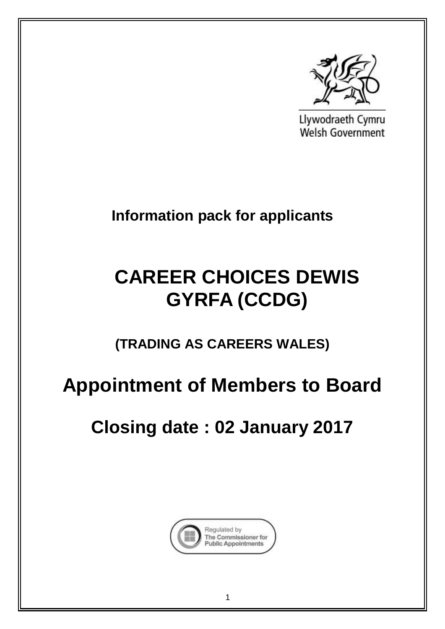

Llywodraeth Cymru Welsh Government

**Information pack for applicants**

# **CAREER CHOICES DEWIS GYRFA (CCDG)**

**(TRADING AS CAREERS WALES)**

# **Appointment of Members to Board**

**Closing date : 02 January 2017**

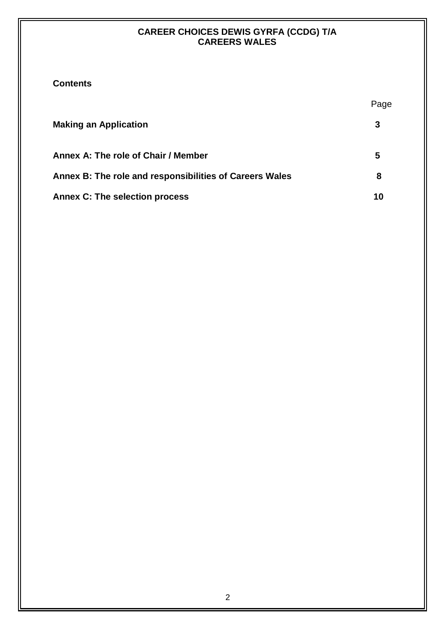| <b>Contents</b> |
|-----------------|
|-----------------|

|                                                         | Page |
|---------------------------------------------------------|------|
| <b>Making an Application</b>                            | 3    |
| Annex A: The role of Chair / Member                     | 5    |
| Annex B: The role and responsibilities of Careers Wales | 8    |
| <b>Annex C: The selection process</b>                   | 10   |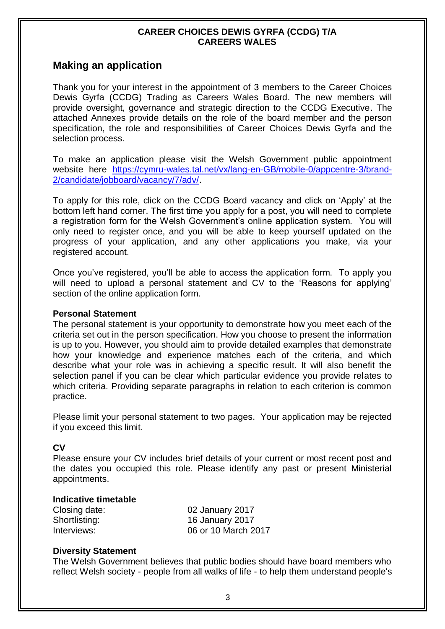# **Making an application**

Thank you for your interest in the appointment of 3 members to the Career Choices Dewis Gyrfa (CCDG) Trading as Careers Wales Board. The new members will provide oversight, governance and strategic direction to the CCDG Executive. The attached Annexes provide details on the role of the board member and the person specification, the role and responsibilities of Career Choices Dewis Gyrfa and the selection process.

To make an application please visit the Welsh Government public appointment website here [https://cymru-wales.tal.net/vx/lang-en-GB/mobile-0/appcentre-3/brand-](https://cymru-wales.tal.net/vx/lang-en-GB/mobile-0/appcentre-3/brand-2/candidate/jobboard/vacancy/7/adv/)[2/candidate/jobboard/vacancy/7/adv/.](https://cymru-wales.tal.net/vx/lang-en-GB/mobile-0/appcentre-3/brand-2/candidate/jobboard/vacancy/7/adv/)

To apply for this role, click on the CCDG Board vacancy and click on 'Apply' at the bottom left hand corner. The first time you apply for a post, you will need to complete a registration form for the Welsh Government's online application system. You will only need to register once, and you will be able to keep yourself updated on the progress of your application, and any other applications you make, via your registered account.

Once you've registered, you'll be able to access the application form. To apply you will need to upload a personal statement and CV to the 'Reasons for applying' section of the online application form.

#### **Personal Statement**

The personal statement is your opportunity to demonstrate how you meet each of the criteria set out in the person specification. How you choose to present the information is up to you. However, you should aim to provide detailed examples that demonstrate how your knowledge and experience matches each of the criteria, and which describe what your role was in achieving a specific result. It will also benefit the selection panel if you can be clear which particular evidence you provide relates to which criteria. Providing separate paragraphs in relation to each criterion is common practice.

Please limit your personal statement to two pages. Your application may be rejected if you exceed this limit.

#### **CV**

Please ensure your CV includes brief details of your current or most recent post and the dates you occupied this role. Please identify any past or present Ministerial appointments.

#### **Indicative timetable**

| Closing date: | 02 January 2017        |
|---------------|------------------------|
| Shortlisting: | <b>16 January 2017</b> |
| Interviews:   | 06 or 10 March 2017    |

#### **Diversity Statement**

The Welsh Government believes that public bodies should have board members who reflect Welsh society - people from all walks of life - to help them understand people's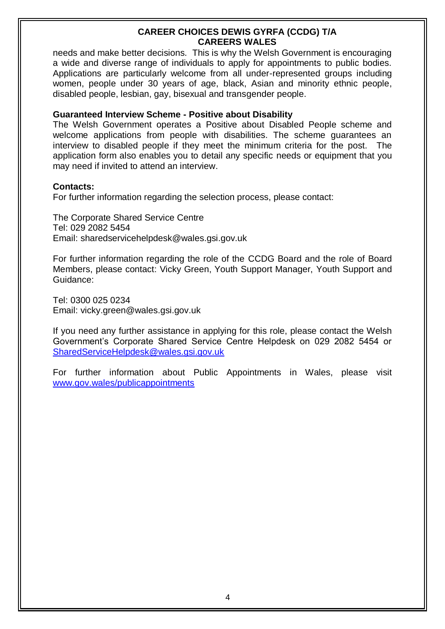needs and make better decisions. This is why the Welsh Government is encouraging a wide and diverse range of individuals to apply for appointments to public bodies. Applications are particularly welcome from all under-represented groups including women, people under 30 years of age, black, Asian and minority ethnic people, disabled people, lesbian, gay, bisexual and transgender people.

#### **Guaranteed Interview Scheme - Positive about Disability**

The Welsh Government operates a Positive about Disabled People scheme and welcome applications from people with disabilities. The scheme guarantees an interview to disabled people if they meet the minimum criteria for the post. The application form also enables you to detail any specific needs or equipment that you may need if invited to attend an interview.

#### **Contacts:**

For further information regarding the selection process, please contact:

The Corporate Shared Service Centre Tel: 029 2082 5454 Email: sharedservicehelpdesk@wales.gsi.gov.uk

For further information regarding the role of the CCDG Board and the role of Board Members, please contact: Vicky Green, Youth Support Manager, Youth Support and Guidance:

Tel: 0300 025 0234 Email: vicky.green@wales.gsi.gov.uk

If you need any further assistance in applying for this role, please contact the Welsh Government's Corporate Shared Service Centre Helpdesk on 029 2082 5454 or [SharedServiceHelpdesk@wales.gsi.gov.uk](mailto:SharedServiceHelpdesk@wales.gsi.gov.uk) 

For further information about Public Appointments in Wales, please visit [www.gov.wales/publicappointments](http://www.gov.wales/publicappointments)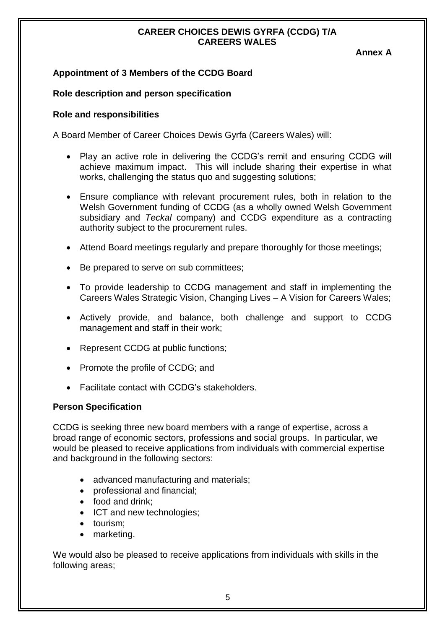**Annex A**

## **Appointment of 3 Members of the CCDG Board**

## **Role description and person specification**

#### **Role and responsibilities**

A Board Member of Career Choices Dewis Gyrfa (Careers Wales) will:

- Play an active role in delivering the CCDG's remit and ensuring CCDG will achieve maximum impact. This will include sharing their expertise in what works, challenging the status quo and suggesting solutions;
- Ensure compliance with relevant procurement rules, both in relation to the Welsh Government funding of CCDG (as a wholly owned Welsh Government subsidiary and *Teckal* company) and CCDG expenditure as a contracting authority subject to the procurement rules.
- Attend Board meetings regularly and prepare thoroughly for those meetings;
- Be prepared to serve on sub committees;
- To provide leadership to CCDG management and staff in implementing the Careers Wales Strategic Vision, Changing Lives – A Vision for Careers Wales;
- Actively provide, and balance, both challenge and support to CCDG management and staff in their work;
- Represent CCDG at public functions;
- Promote the profile of CCDG; and
- Facilitate contact with CCDG's stakeholders.

#### **Person Specification**

CCDG is seeking three new board members with a range of expertise, across a broad range of economic sectors, professions and social groups. In particular, we would be pleased to receive applications from individuals with commercial expertise and background in the following sectors:

- advanced manufacturing and materials;
- professional and financial;
- food and drink:
- ICT and new technologies:
- tourism:
- marketing.

We would also be pleased to receive applications from individuals with skills in the following areas;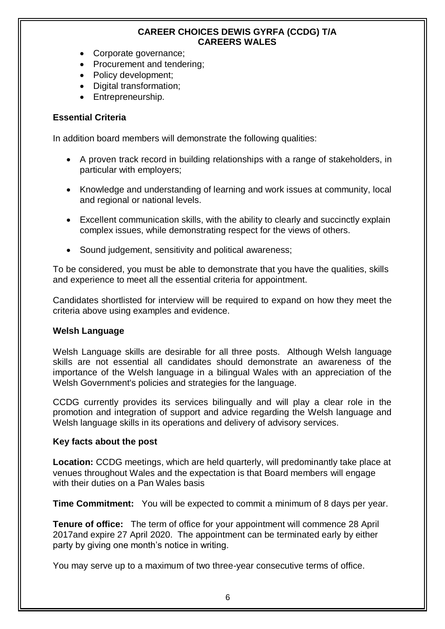- Corporate governance;
- Procurement and tendering;
- Policy development;
- Digital transformation;
- Entrepreneurship.

## **Essential Criteria**

In addition board members will demonstrate the following qualities:

- A proven track record in building relationships with a range of stakeholders, in particular with employers;
- Knowledge and understanding of learning and work issues at community, local and regional or national levels.
- Excellent communication skills, with the ability to clearly and succinctly explain complex issues, while demonstrating respect for the views of others.
- Sound judgement, sensitivity and political awareness;

To be considered, you must be able to demonstrate that you have the qualities, skills and experience to meet all the essential criteria for appointment.

Candidates shortlisted for interview will be required to expand on how they meet the criteria above using examples and evidence.

#### **Welsh Language**

Welsh Language skills are desirable for all three posts. Although Welsh language skills are not essential all candidates should demonstrate an awareness of the importance of the Welsh language in a bilingual Wales with an appreciation of the Welsh Government's policies and strategies for the language.

CCDG currently provides its services bilingually and will play a clear role in the promotion and integration of support and advice regarding the Welsh language and Welsh language skills in its operations and delivery of advisory services.

#### **Key facts about the post**

**Location:** CCDG meetings, which are held quarterly, will predominantly take place at venues throughout Wales and the expectation is that Board members will engage with their duties on a Pan Wales basis

**Time Commitment:** You will be expected to commit a minimum of 8 days per year.

**Tenure of office:** The term of office for your appointment will commence 28 April 2017and expire 27 April 2020. The appointment can be terminated early by either party by giving one month's notice in writing.

You may serve up to a maximum of two three-year consecutive terms of office.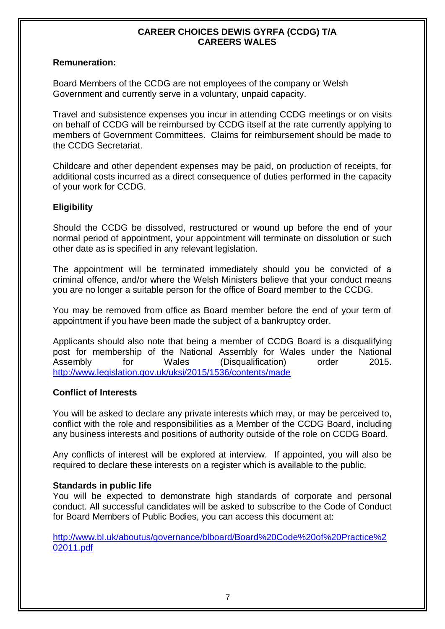#### **Remuneration:**

Board Members of the CCDG are not employees of the company or Welsh Government and currently serve in a voluntary, unpaid capacity.

Travel and subsistence expenses you incur in attending CCDG meetings or on visits on behalf of CCDG will be reimbursed by CCDG itself at the rate currently applying to members of Government Committees. Claims for reimbursement should be made to the CCDG Secretariat.

Childcare and other dependent expenses may be paid, on production of receipts, for additional costs incurred as a direct consequence of duties performed in the capacity of your work for CCDG.

## **Eligibility**

Should the CCDG be dissolved, restructured or wound up before the end of your normal period of appointment, your appointment will terminate on dissolution or such other date as is specified in any relevant legislation.

The appointment will be terminated immediately should you be convicted of a criminal offence, and/or where the Welsh Ministers believe that your conduct means you are no longer a suitable person for the office of Board member to the CCDG.

You may be removed from office as Board member before the end of your term of appointment if you have been made the subject of a bankruptcy order.

Applicants should also note that being a member of CCDG Board is a disqualifying post for membership of the National Assembly for Wales under the National Assembly for Wales (Disqualification) order 2015. <http://www.legislation.gov.uk/uksi/2015/1536/contents/made>

## **Conflict of Interests**

You will be asked to declare any private interests which may, or may be perceived to, conflict with the role and responsibilities as a Member of the CCDG Board, including any business interests and positions of authority outside of the role on CCDG Board.

Any conflicts of interest will be explored at interview. If appointed, you will also be required to declare these interests on a register which is available to the public.

#### **Standards in public life**

You will be expected to demonstrate high standards of corporate and personal conduct. All successful candidates will be asked to subscribe to the Code of Conduct for Board Members of Public Bodies, you can access this document at:

[http://www.bl.uk/aboutus/governance/blboard/Board%20Code%20of%20Practice%2](http://www.bl.uk/aboutus/governance/blboard/Board%20Code%20of%20Practice%202011.pdf) [02011.pdf](http://www.bl.uk/aboutus/governance/blboard/Board%20Code%20of%20Practice%202011.pdf)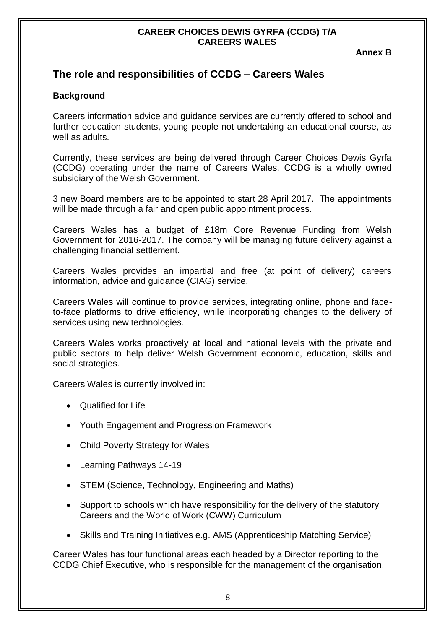**Annex B**

# **The role and responsibilities of CCDG – Careers Wales**

## **Background**

Careers information advice and guidance services are currently offered to school and further education students, young people not undertaking an educational course, as well as adults.

Currently, these services are being delivered through Career Choices Dewis Gyrfa (CCDG) operating under the name of Careers Wales. CCDG is a wholly owned subsidiary of the Welsh Government.

3 new Board members are to be appointed to start 28 April 2017. The appointments will be made through a fair and open public appointment process.

Careers Wales has a budget of £18m Core Revenue Funding from Welsh Government for 2016-2017. The company will be managing future delivery against a challenging financial settlement.

Careers Wales provides an impartial and free (at point of delivery) careers information, advice and guidance (CIAG) service.

Careers Wales will continue to provide services, integrating online, phone and faceto-face platforms to drive efficiency, while incorporating changes to the delivery of services using new technologies.

Careers Wales works proactively at local and national levels with the private and public sectors to help deliver Welsh Government economic, education, skills and social strategies.

Careers Wales is currently involved in:

- Qualified for Life
- Youth Engagement and Progression Framework
- Child Poverty Strategy for Wales
- Learning Pathways 14-19
- STEM (Science, Technology, Engineering and Maths)
- Support to schools which have responsibility for the delivery of the statutory Careers and the World of Work (CWW) Curriculum
- Skills and Training Initiatives e.g. AMS (Apprenticeship Matching Service)

Career Wales has four functional areas each headed by a Director reporting to the CCDG Chief Executive, who is responsible for the management of the organisation.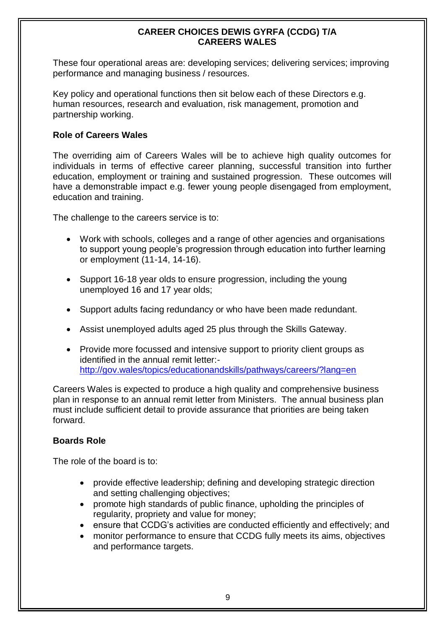These four operational areas are: developing services; delivering services; improving performance and managing business / resources.

Key policy and operational functions then sit below each of these Directors e.g. human resources, research and evaluation, risk management, promotion and partnership working.

## **Role of Careers Wales**

The overriding aim of Careers Wales will be to achieve high quality outcomes for individuals in terms of effective career planning, successful transition into further education, employment or training and sustained progression. These outcomes will have a demonstrable impact e.g. fewer young people disengaged from employment, education and training.

The challenge to the careers service is to:

- Work with schools, colleges and a range of other agencies and organisations to support young people's progression through education into further learning or employment (11-14, 14-16).
- Support 16-18 year olds to ensure progression, including the young unemployed 16 and 17 year olds;
- Support adults facing redundancy or who have been made redundant.
- Assist unemployed adults aged 25 plus through the Skills Gateway.
- Provide more focussed and intensive support to priority client groups as identified in the annual remit letter: <http://gov.wales/topics/educationandskills/pathways/careers/?lang=en>

Careers Wales is expected to produce a high quality and comprehensive business plan in response to an annual remit letter from Ministers. The annual business plan must include sufficient detail to provide assurance that priorities are being taken forward.

## **Boards Role**

The role of the board is to:

- provide effective leadership; defining and developing strategic direction and setting challenging objectives;
- promote high standards of public finance, upholding the principles of regularity, propriety and value for money;
- ensure that CCDG's activities are conducted efficiently and effectively; and
- monitor performance to ensure that CCDG fully meets its aims, objectives and performance targets.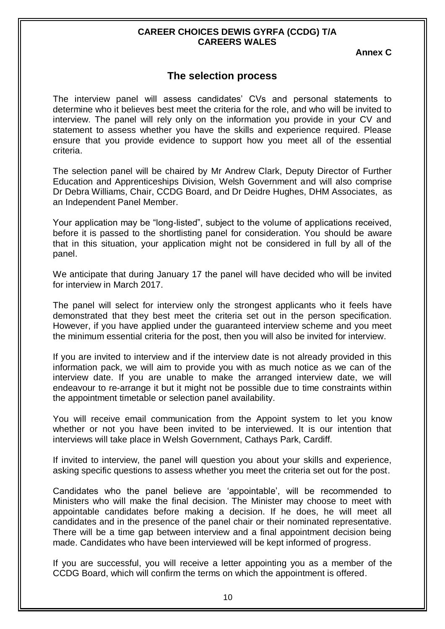**Annex C**

# **The selection process**

The interview panel will assess candidates' CVs and personal statements to determine who it believes best meet the criteria for the role, and who will be invited to interview. The panel will rely only on the information you provide in your CV and statement to assess whether you have the skills and experience required. Please ensure that you provide evidence to support how you meet all of the essential criteria.

The selection panel will be chaired by Mr Andrew Clark, Deputy Director of Further Education and Apprenticeships Division, Welsh Government and will also comprise Dr Debra Williams, Chair, CCDG Board, and Dr Deidre Hughes, DHM Associates, as an Independent Panel Member.

Your application may be "long-listed", subject to the volume of applications received, before it is passed to the shortlisting panel for consideration. You should be aware that in this situation, your application might not be considered in full by all of the panel.

We anticipate that during January 17 the panel will have decided who will be invited for interview in March 2017.

The panel will select for interview only the strongest applicants who it feels have demonstrated that they best meet the criteria set out in the person specification. However, if you have applied under the guaranteed interview scheme and you meet the minimum essential criteria for the post, then you will also be invited for interview.

If you are invited to interview and if the interview date is not already provided in this information pack, we will aim to provide you with as much notice as we can of the interview date. If you are unable to make the arranged interview date, we will endeavour to re-arrange it but it might not be possible due to time constraints within the appointment timetable or selection panel availability.

You will receive email communication from the Appoint system to let you know whether or not you have been invited to be interviewed. It is our intention that interviews will take place in Welsh Government, Cathays Park, Cardiff.

If invited to interview, the panel will question you about your skills and experience, asking specific questions to assess whether you meet the criteria set out for the post.

Candidates who the panel believe are 'appointable', will be recommended to Ministers who will make the final decision. The Minister may choose to meet with appointable candidates before making a decision. If he does, he will meet all candidates and in the presence of the panel chair or their nominated representative. There will be a time gap between interview and a final appointment decision being made. Candidates who have been interviewed will be kept informed of progress.

If you are successful, you will receive a letter appointing you as a member of the CCDG Board, which will confirm the terms on which the appointment is offered.